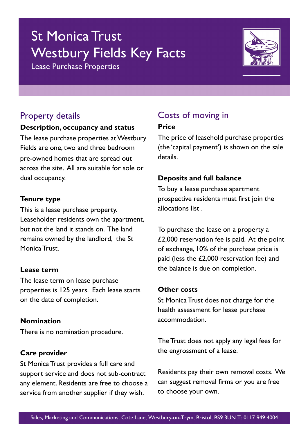# St Monica Trust Westbury Fields Key Facts

Lease Purchase Properties



### Property details

#### **Description, occupancy and status**

The lease purchase properties at Westbury Fields are one, two and three bedroom pre-owned homes that are spread out across the site. All are suitable for sole or dual occupancy.

#### **Tenure type**

This is a lease purchase property. Leaseholder residents own the apartment, but not the land it stands on. The land remains owned by the landlord, the St Monica Trust.

#### **Lease term**

The lease term on lease purchase properties is 125 years. Each lease starts on the date of completion.

#### **Nomination**

There is no nomination procedure.

#### **Care provider**

St Monica Trust provides a full care and support service and does not sub-contract any element. Residents are free to choose a service from another supplier if they wish.

# Costs of moving in

#### **Price**

The price of leasehold purchase properties (the 'capital payment') is shown on the sale details.

#### **Deposits and full balance**

To buy a lease purchase apartment prospective residents must first join the allocations list .

To purchase the lease on a property a £2,000 reservation fee is paid. At the point of exchange, 10% of the purchase price is paid (less the £2,000 reservation fee) and the balance is due on completion.

#### **Other costs**

St Monica Trust does not charge for the health assessment for lease purchase accommodation.

The Trust does not apply any legal fees for the engrossment of a lease.

Residents pay their own removal costs. We can suggest removal firms or you are free to choose your own.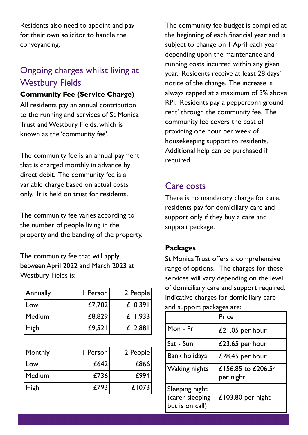Residents also need to appoint and pay for their own solicitor to handle the conveyancing.

# Ongoing charges whilst living at Westbury Fields

#### **Community Fee (Service Charge)**

All residents pay an annual contribution to the running and services of St Monica Trust and Westbury Fields, which is known as the 'community fee'.

The community fee is an annual payment that is charged monthly in advance by direct debit. The community fee is a variable charge based on actual costs only. It is held on trust for residents.

The community fee varies according to the number of people living in the property and the banding of the property.

The community fee that will apply between April 2022 and March 2023 at Westbury Fields is:

| Annually | I Person | 2 People  |
|----------|----------|-----------|
| Low      | £7,702   | £10,391   |
| Medium   | £8,829   | £11,933   |
| High     | £9,521   | $£$  2,88 |

| Monthly | I Person | 2 People |
|---------|----------|----------|
| Low     | £642     | £866     |
| Medium  | £736     | £994     |
| High    | £793     | £1073    |

The community fee budget is compiled at the beginning of each financial year and is subject to change on I April each year depending upon the maintenance and running costs incurred within any given year. Residents receive at least 28 days' notice of the change. The increase is always capped at a maximum of 3% above RPI. Residents pay a peppercorn ground rent' through the community fee. The community fee covers the cost of providing one hour per week of housekeeping support to residents. Additional help can be purchased if required.

### Care costs

There is no mandatory charge for care, residents pay for domiciliary care and support only if they buy a care and support package.

#### **Packages**

St Monica Trust offers a comprehensive range of options. The charges for these services will vary depending on the level of domiciliary care and support required. Indicative charges for domiciliary care and support packages are:

|                                                      | Price                           |
|------------------------------------------------------|---------------------------------|
| Mon - Fri                                            | £21.05 per hour                 |
| Sat - Sun                                            | £23.65 per hour                 |
| <b>Bank holidays</b>                                 | £28.45 per hour                 |
| <b>Waking nights</b>                                 | £156.85 to £206.54<br>per night |
| Sleeping night<br>(carer sleeping<br>but is on call) | £103.80 per night               |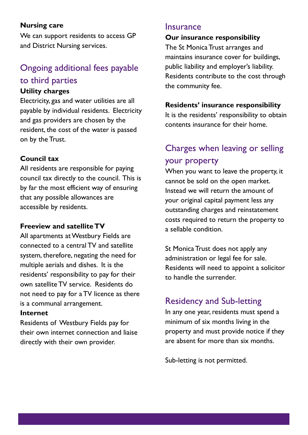#### **Nursing care**

We can support residents to access GP and District Nursing services.

# Ongoing additional fees payable to third parties

#### **Utility charges**

Electricity, gas and water utilities are all payable by individual residents. Electricity and gas providers are chosen by the resident, the cost of the water is passed on by the Trust.

#### **Council tax**

All residents are responsible for paying council tax directly to the council. This is by far the most efficient way of ensuring that any possible allowances are accessible by residents.

#### **Freeview and satellite TV**

All apartments at Westbury Fields are connected to a central TV and satellite system, therefore, negating the need for multiple aerials and dishes. It is the residents' responsibility to pay for their own satellite TV service. Residents do not need to pay for a TV licence as there is a communal arrangement.

#### **Internet**

Residents of Westbury Fields pay for their own internet connection and liaise directly with their own provider.

#### **Insurance**

#### **Our insurance responsibility**

The St Monica Trust arranges and maintains insurance cover for buildings, public liability and employer's liability. Residents contribute to the cost through the community fee.

#### **Residents' insurance responsibility**

It is the residents' responsibility to obtain contents insurance for their home.

## Charges when leaving or selling your property

When you want to leave the property, it cannot be sold on the open market. Instead we will return the amount of your original capital payment less any outstanding charges and reinstatement costs required to return the property to a sellable condition.

St Monica Trust does not apply any administration or legal fee for sale. Residents will need to appoint a solicitor to handle the surrender.

### Residency and Sub-letting

In any one year, residents must spend a minimum of six months living in the property and must provide notice if they are absent for more than six months.

Sub-letting is not permitted.